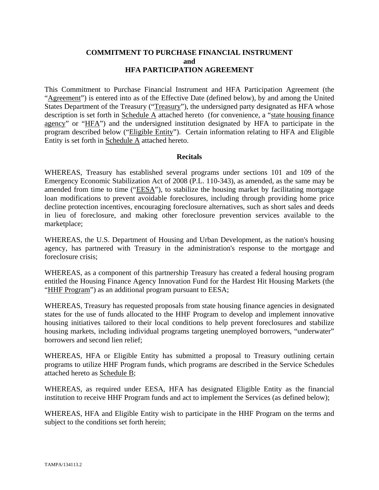#### **COMMITMENT TO PURCHASE FINANCIAL INSTRUMENT and HFA PARTICIPATION AGREEMENT**

This Commitment to Purchase Financial Instrument and HFA Participation Agreement (the "Agreement") is entered into as of the Effective Date (defined below), by and among the United States Department of the Treasury ("Treasury"), the undersigned party designated as HFA whose description is set forth in Schedule A attached hereto (for convenience, a "state housing finance agency" or "HFA") and the undersigned institution designated by HFA to participate in the program described below ("Eligible Entity"). Certain information relating to HFA and Eligible Entity is set forth in Schedule A attached hereto.

#### **Recitals**

WHEREAS, Treasury has established several programs under sections 101 and 109 of the Emergency Economic Stabilization Act of 2008 (P.L. 110-343), as amended, as the same may be amended from time to time ("EESA"), to stabilize the housing market by facilitating mortgage loan modifications to prevent avoidable foreclosures, including through providing home price decline protection incentives, encouraging foreclosure alternatives, such as short sales and deeds in lieu of foreclosure, and making other foreclosure prevention services available to the marketplace;

WHEREAS, the U.S. Department of Housing and Urban Development, as the nation's housing agency, has partnered with Treasury in the administration's response to the mortgage and foreclosure crisis;

WHEREAS, as a component of this partnership Treasury has created a federal housing program entitled the Housing Finance Agency Innovation Fund for the Hardest Hit Housing Markets (the "HHF Program") as an additional program pursuant to EESA;

WHEREAS, Treasury has requested proposals from state housing finance agencies in designated states for the use of funds allocated to the HHF Program to develop and implement innovative housing initiatives tailored to their local conditions to help prevent foreclosures and stabilize housing markets, including individual programs targeting unemployed borrowers, "underwater" borrowers and second lien relief;

WHEREAS, HFA or Eligible Entity has submitted a proposal to Treasury outlining certain programs to utilize HHF Program funds, which programs are described in the Service Schedules attached hereto as Schedule B;

WHEREAS, as required under EESA, HFA has designated Eligible Entity as the financial institution to receive HHF Program funds and act to implement the Services (as defined below);

WHEREAS, HFA and Eligible Entity wish to participate in the HHF Program on the terms and subject to the conditions set forth herein;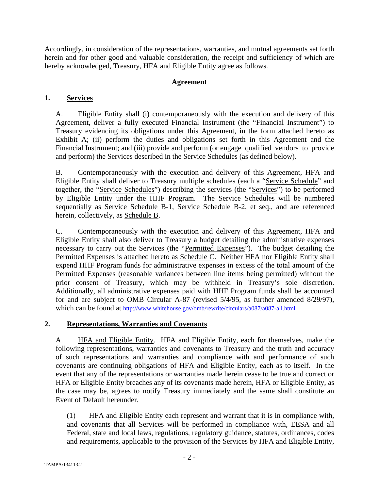Accordingly, in consideration of the representations, warranties, and mutual agreements set forth herein and for other good and valuable consideration, the receipt and sufficiency of which are hereby acknowledged, Treasury, HFA and Eligible Entity agree as follows.

### **Agreement**

## **1. Services**

A. Eligible Entity shall (i) contemporaneously with the execution and delivery of this Agreement, deliver a fully executed Financial Instrument (the "Financial Instrument") to Treasury evidencing its obligations under this Agreement, in the form attached hereto as Exhibit  $\overline{A}$ ; (ii) perform the duties and obligations set forth in this Agreement and the Financial Instrument; and (iii) provide and perform (or engage qualified vendors to provide and perform) the Services described in the Service Schedules (as defined below).

B. Contemporaneously with the execution and delivery of this Agreement, HFA and Eligible Entity shall deliver to Treasury multiple schedules (each a "Service Schedule" and together, the "Service Schedules") describing the services (the "Services") to be performed by Eligible Entity under the HHF Program. The Service Schedules will be numbered sequentially as Service Schedule B-1, Service Schedule B-2, et seq., and are referenced herein, collectively, as Schedule B.

C. Contemporaneously with the execution and delivery of this Agreement, HFA and Eligible Entity shall also deliver to Treasury a budget detailing the administrative expenses necessary to carry out the Services (the "Permitted Expenses"). The budget detailing the Permitted Expenses is attached hereto as **Schedule C.** Neither HFA nor Eligible Entity shall expend HHF Program funds for administrative expenses in excess of the total amount of the Permitted Expenses (reasonable variances between line items being permitted) without the prior consent of Treasury, which may be withheld in Treasury's sole discretion. Additionally, all administrative expenses paid with HHF Program funds shall be accounted for and are subject to OMB Circular A-87 (revised 5/4/95, as further amended 8/29/97), which can be found at http://www.whitehouse.gov/omb/rewrite/circulars/a087/a087-all.html.

## **2. Representations, Warranties and Covenants**

A. **HFA and Eligible Entity.** HFA and Eligible Entity, each for themselves, make the following representations, warranties and covenants to Treasury and the truth and accuracy of such representations and warranties and compliance with and performance of such covenants are continuing obligations of HFA and Eligible Entity, each as to itself. In the event that any of the representations or warranties made herein cease to be true and correct or HFA or Eligible Entity breaches any of its covenants made herein, HFA or Eligible Entity, as the case may be, agrees to notify Treasury immediately and the same shall constitute an Event of Default hereunder.

(1) HFA and Eligible Entity each represent and warrant that it is in compliance with, and covenants that all Services will be performed in compliance with, EESA and all Federal, state and local laws, regulations, regulatory guidance, statutes, ordinances, codes and requirements, applicable to the provision of the Services by HFA and Eligible Entity,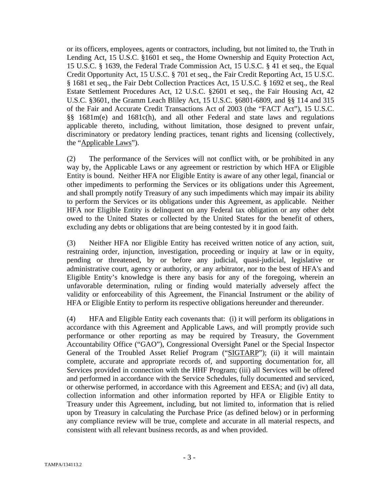or its officers, employees, agents or contractors, including, but not limited to, the Truth in Lending Act, 15 U.S.C. §1601 et seq., the Home Ownership and Equity Protection Act, 15 U.S.C. § 1639, the Federal Trade Commission Act, 15 U.S.C. § 41 et seq., the Equal Credit Opportunity Act, 15 U.S.C. § 701 et seq., the Fair Credit Reporting Act, 15 U.S.C. § 1681 et seq., the Fair Debt Collection Practices Act, 15 U.S.C. § 1692 et seq., the Real Estate Settlement Procedures Act, 12 U.S.C. §2601 et seq., the Fair Housing Act, 42 U.S.C. §3601, the Gramm Leach Bliley Act, 15 U.S.C. §6801-6809, and §§ 114 and 315 of the Fair and Accurate Credit Transactions Act of 2003 (the "FACT Act"), 15 U.S.C. §§ 1681m(e) and 1681c(h), and all other Federal and state laws and regulations applicable thereto, including, without limitation, those designed to prevent unfair, discriminatory or predatory lending practices, tenant rights and licensing (collectively, the "Applicable Laws").

(2) The performance of the Services will not conflict with, or be prohibited in any way by, the Applicable Laws or any agreement or restriction by which HFA or Eligible Entity is bound. Neither HFA nor Eligible Entity is aware of any other legal, financial or other impediments to performing the Services or its obligations under this Agreement, and shall promptly notify Treasury of any such impediments which may impair its ability to perform the Services or its obligations under this Agreement, as applicable. Neither HFA nor Eligible Entity is delinquent on any Federal tax obligation or any other debt owed to the United States or collected by the United States for the benefit of others, excluding any debts or obligations that are being contested by it in good faith.

(3) Neither HFA nor Eligible Entity has received written notice of any action, suit, restraining order, injunction, investigation, proceeding or inquiry at law or in equity, pending or threatened, by or before any judicial, quasi-judicial, legislative or administrative court, agency or authority, or any arbitrator, nor to the best of HFA's and Eligible Entity's knowledge is there any basis for any of the foregoing, wherein an unfavorable determination, ruling or finding would materially adversely affect the validity or enforceability of this Agreement, the Financial Instrument or the ability of HFA or Eligible Entity to perform its respective obligations hereunder and thereunder.

(4) HFA and Eligible Entity each covenants that: (i) it will perform its obligations in accordance with this Agreement and Applicable Laws, and will promptly provide such performance or other reporting as may be required by Treasury, the Government Accountability Office ("GAO"), Congressional Oversight Panel or the Special Inspector General of the Troubled Asset Relief Program ("SIGTARP"); (ii) it will maintain complete, accurate and appropriate records of, and supporting documentation for, all Services provided in connection with the HHF Program; (iii) all Services will be offered and performed in accordance with the Service Schedules, fully documented and serviced, or otherwise performed, in accordance with this Agreement and EESA; and (iv) all data, collection information and other information reported by HFA or Eligible Entity to Treasury under this Agreement, including, but not limited to, information that is relied upon by Treasury in calculating the Purchase Price (as defined below) or in performing any compliance review will be true, complete and accurate in all material respects, and consistent with all relevant business records, as and when provided.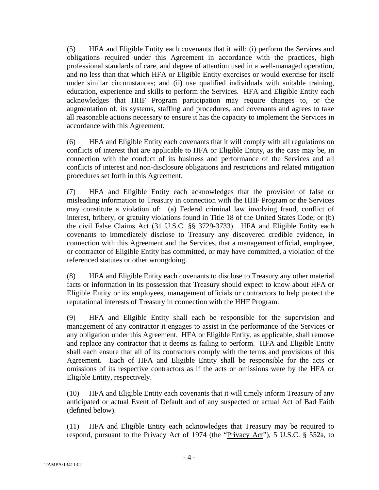(5) HFA and Eligible Entity each covenants that it will: (i) perform the Services and obligations required under this Agreement in accordance with the practices, high professional standards of care, and degree of attention used in a well-managed operation, and no less than that which HFA or Eligible Entity exercises or would exercise for itself under similar circumstances; and (ii) use qualified individuals with suitable training, education, experience and skills to perform the Services. HFA and Eligible Entity each acknowledges that HHF Program participation may require changes to, or the augmentation of, its systems, staffing and procedures, and covenants and agrees to take all reasonable actions necessary to ensure it has the capacity to implement the Services in accordance with this Agreement.

(6) HFA and Eligible Entity each covenants that it will comply with all regulations on conflicts of interest that are applicable to HFA or Eligible Entity, as the case may be, in connection with the conduct of its business and performance of the Services and all conflicts of interest and non-disclosure obligations and restrictions and related mitigation procedures set forth in this Agreement.

(7) HFA and Eligible Entity each acknowledges that the provision of false or misleading information to Treasury in connection with the HHF Program or the Services may constitute a violation of: (a) Federal criminal law involving fraud, conflict of interest, bribery, or gratuity violations found in Title 18 of the United States Code; or (b) the civil False Claims Act (31 U.S.C. §§ 3729-3733). HFA and Eligible Entity each covenants to immediately disclose to Treasury any discovered credible evidence, in connection with this Agreement and the Services, that a management official, employee, or contractor of Eligible Entity has committed, or may have committed, a violation of the referenced statutes or other wrongdoing.

(8) HFA and Eligible Entity each covenants to disclose to Treasury any other material facts or information in its possession that Treasury should expect to know about HFA or Eligible Entity or its employees, management officials or contractors to help protect the reputational interests of Treasury in connection with the HHF Program.

(9) HFA and Eligible Entity shall each be responsible for the supervision and management of any contractor it engages to assist in the performance of the Services or any obligation under this Agreement. HFA or Eligible Entity, as applicable, shall remove and replace any contractor that it deems as failing to perform. HFA and Eligible Entity shall each ensure that all of its contractors comply with the terms and provisions of this Agreement. Each of HFA and Eligible Entity shall be responsible for the acts or omissions of its respective contractors as if the acts or omissions were by the HFA or Eligible Entity, respectively.

(10) HFA and Eligible Entity each covenants that it will timely inform Treasury of any anticipated or actual Event of Default and of any suspected or actual Act of Bad Faith (defined below).

(11) HFA and Eligible Entity each acknowledges that Treasury may be required to respond, pursuant to the Privacy Act of 1974 (the "Privacy Act"), 5 U.S.C. § 552a, to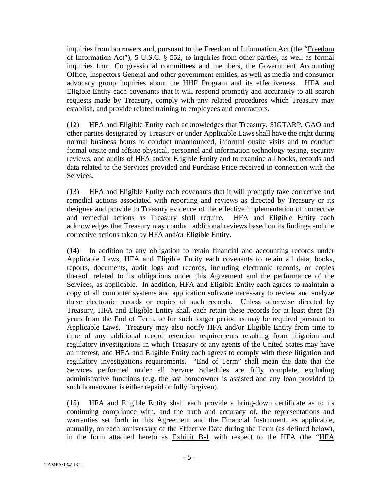inquiries from borrowers and, pursuant to the Freedom of Information Act (the "Freedom of Information Act"), 5 U.S.C. § 552, to inquiries from other parties, as well as formal inquiries from Congressional committees and members, the Government Accounting Office, Inspectors General and other government entities, as well as media and consumer advocacy group inquiries about the HHF Program and its effectiveness. HFA and Eligible Entity each covenants that it will respond promptly and accurately to all search requests made by Treasury, comply with any related procedures which Treasury may establish, and provide related training to employees and contractors.

(12) HFA and Eligible Entity each acknowledges that Treasury, SIGTARP, GAO and other parties designated by Treasury or under Applicable Laws shall have the right during normal business hours to conduct unannounced, informal onsite visits and to conduct formal onsite and offsite physical, personnel and information technology testing, security reviews, and audits of HFA and/or Eligible Entity and to examine all books, records and data related to the Services provided and Purchase Price received in connection with the Services.

(13) HFA and Eligible Entity each covenants that it will promptly take corrective and remedial actions associated with reporting and reviews as directed by Treasury or its designee and provide to Treasury evidence of the effective implementation of corrective and remedial actions as Treasury shall require. HFA and Eligible Entity each acknowledges that Treasury may conduct additional reviews based on its findings and the corrective actions taken by HFA and/or Eligible Entity.

(14) In addition to any obligation to retain financial and accounting records under Applicable Laws, HFA and Eligible Entity each covenants to retain all data, books, reports, documents, audit logs and records, including electronic records, or copies thereof, related to its obligations under this Agreement and the performance of the Services, as applicable. In addition, HFA and Eligible Entity each agrees to maintain a copy of all computer systems and application software necessary to review and analyze these electronic records or copies of such records. Unless otherwise directed by Treasury, HFA and Eligible Entity shall each retain these records for at least three (3) years from the End of Term, or for such longer period as may be required pursuant to Applicable Laws. Treasury may also notify HFA and/or Eligible Entity from time to time of any additional record retention requirements resulting from litigation and regulatory investigations in which Treasury or any agents of the United States may have an interest, and HFA and Eligible Entity each agrees to comply with these litigation and regulatory investigations requirements. "End of Term" shall mean the date that the Services performed under all Service Schedules are fully complete, excluding administrative functions (e.g. the last homeowner is assisted and any loan provided to such homeowner is either repaid or fully forgiven).

(15) HFA and Eligible Entity shall each provide a bring-down certificate as to its continuing compliance with, and the truth and accuracy of, the representations and warranties set forth in this Agreement and the Financial Instrument, as applicable, annually, on each anniversary of the Effective Date during the Term (as defined below), in the form attached hereto as Exhibit B-1 with respect to the HFA (the "HFA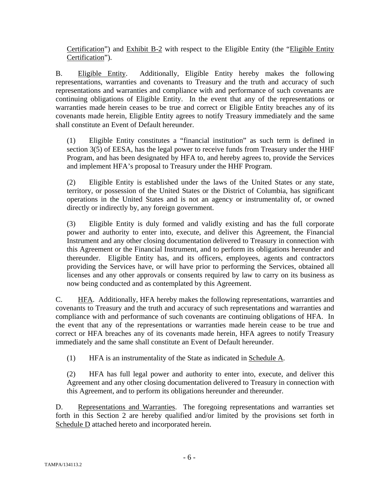Certification") and Exhibit B-2 with respect to the Eligible Entity (the "Eligible Entity Certification").

B. Eligible Entity. Additionally, Eligible Entity hereby makes the following representations, warranties and covenants to Treasury and the truth and accuracy of such representations and warranties and compliance with and performance of such covenants are continuing obligations of Eligible Entity. In the event that any of the representations or warranties made herein ceases to be true and correct or Eligible Entity breaches any of its covenants made herein, Eligible Entity agrees to notify Treasury immediately and the same shall constitute an Event of Default hereunder.

(1) Eligible Entity constitutes a "financial institution" as such term is defined in section 3(5) of EESA, has the legal power to receive funds from Treasury under the HHF Program, and has been designated by HFA to, and hereby agrees to, provide the Services and implement HFA's proposal to Treasury under the HHF Program.

(2) Eligible Entity is established under the laws of the United States or any state, territory, or possession of the United States or the District of Columbia, has significant operations in the United States and is not an agency or instrumentality of, or owned directly or indirectly by, any foreign government.

(3) Eligible Entity is duly formed and validly existing and has the full corporate power and authority to enter into, execute, and deliver this Agreement, the Financial Instrument and any other closing documentation delivered to Treasury in connection with this Agreement or the Financial Instrument, and to perform its obligations hereunder and thereunder. Eligible Entity has, and its officers, employees, agents and contractors providing the Services have, or will have prior to performing the Services, obtained all licenses and any other approvals or consents required by law to carry on its business as now being conducted and as contemplated by this Agreement.

C. HFA. Additionally, HFA hereby makes the following representations, warranties and covenants to Treasury and the truth and accuracy of such representations and warranties and compliance with and performance of such covenants are continuing obligations of HFA. In the event that any of the representations or warranties made herein cease to be true and correct or HFA breaches any of its covenants made herein, HFA agrees to notify Treasury immediately and the same shall constitute an Event of Default hereunder.

(1) HFA is an instrumentality of the State as indicated in Schedule A.

(2) HFA has full legal power and authority to enter into, execute, and deliver this Agreement and any other closing documentation delivered to Treasury in connection with this Agreement, and to perform its obligations hereunder and thereunder.

D. Representations and Warranties. The foregoing representations and warranties set forth in this Section 2 are hereby qualified and/or limited by the provisions set forth in Schedule D attached hereto and incorporated herein.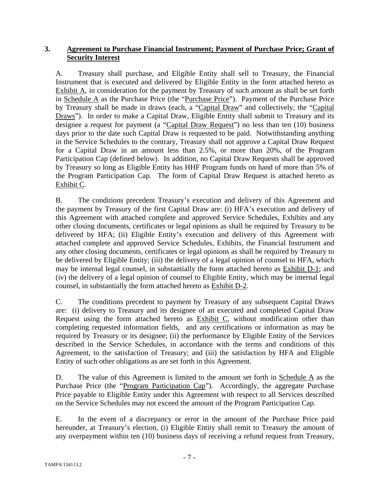## **3. Agreement to Purchase Financial Instrument; Payment of Purchase Price; Grant of Security Interest**

A. Treasury shall purchase, and Eligible Entity shall sell to Treasury, the Financial Instrument that is executed and delivered by Eligible Entity in the form attached hereto as Exhibit A, in consideration for the payment by Treasury of such amount as shall be set forth in Schedule A as the Purchase Price (the "Purchase Price"). Payment of the Purchase Price by Treasury shall be made in draws (each, a "Capital Draw" and collectively, the "Capital Draws"). In order to make a Capital Draw, Eligible Entity shall submit to Treasury and its designee a request for payment (a "Capital Draw Request") no less than ten (10) business days prior to the date such Capital Draw is requested to be paid. Notwithstanding anything in the Service Schedules to the contrary, Treasury shall not approve a Capital Draw Request for a Capital Draw in an amount less than 2.5%, or more than 20%, of the Program Participation Cap (defined below). In addition, no Capital Draw Requests shall be approved by Treasury so long as Eligible Entity has HHF Program funds on hand of more than 5% of the Program Participation Cap. The form of Capital Draw Request is attached hereto as Exhibit C.

B. The conditions precedent Treasury's execution and delivery of this Agreement and the payment by Treasury of the first Capital Draw are: (i) HFA's execution and delivery of this Agreement with attached complete and approved Service Schedules, Exhibits and any other closing documents, certificates or legal opinions as shall be required by Treasury to be delivered by HFA; (ii) Eligible Entity's execution and delivery of this Agreement with attached complete and approved Service Schedules, Exhibits, the Financial Instrument and any other closing documents, certificates or legal opinions as shall be required by Treasury to be delivered by Eligible Entity; (iii) the delivery of a legal opinion of counsel to HFA, which may be internal legal counsel, in substantially the form attached hereto as Exhibit D-1; and (iv) the delivery of a legal opinion of counsel to Eligible Entity, which may be internal legal counsel, in substantially the form attached hereto as Exhibit D-2.

C. The conditions precedent to payment by Treasury of any subsequent Capital Draws are: (i) delivery to Treasury and its designee of an executed and completed Capital Draw Request using the form attached hereto as Exhibit C, without modification other than completing requested information fields, and any certifications or information as may be required by Treasury or its designee; (ii) the performance by Eligible Entity of the Services described in the Service Schedules, in accordance with the terms and conditions of this Agreement, to the satisfaction of Treasury; and (iii) the satisfaction by HFA and Eligible Entity of such other obligations as are set forth in this Agreement.

D. The value of this Agreement is limited to the amount set forth in Schedule  $\overline{A}$  as the Purchase Price (the "Program Participation Cap"). Accordingly, the aggregate Purchase Price payable to Eligible Entity under this Agreement with respect to all Services described on the Service Schedules may not exceed the amount of the Program Participation Cap.

E. In the event of a discrepancy or error in the amount of the Purchase Price paid hereunder, at Treasury's election, (i) Eligible Entity shall remit to Treasury the amount of any overpayment within ten (10) business days of receiving a refund request from Treasury,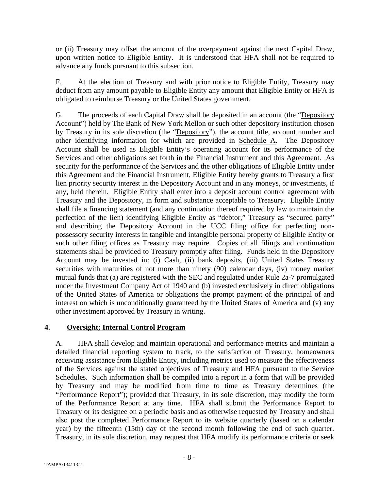or (ii) Treasury may offset the amount of the overpayment against the next Capital Draw, upon written notice to Eligible Entity. It is understood that HFA shall not be required to advance any funds pursuant to this subsection.

F. At the election of Treasury and with prior notice to Eligible Entity, Treasury may deduct from any amount payable to Eligible Entity any amount that Eligible Entity or HFA is obligated to reimburse Treasury or the United States government.

G. The proceeds of each Capital Draw shall be deposited in an account (the "Depository Account") held by The Bank of New York Mellon or such other depository institution chosen by Treasury in its sole discretion (the "Depository"), the account title, account number and other identifying information for which are provided in Schedule A. The Depository Account shall be used as Eligible Entity's operating account for its performance of the Services and other obligations set forth in the Financial Instrument and this Agreement. As security for the performance of the Services and the other obligations of Eligible Entity under this Agreement and the Financial Instrument, Eligible Entity hereby grants to Treasury a first lien priority security interest in the Depository Account and in any moneys, or investments, if any, held therein. Eligible Entity shall enter into a deposit account control agreement with Treasury and the Depository, in form and substance acceptable to Treasury. Eligible Entity shall file a financing statement (and any continuation thereof required by law to maintain the perfection of the lien) identifying Eligible Entity as "debtor," Treasury as "secured party" and describing the Depository Account in the UCC filing office for perfecting nonpossessory security interests in tangible and intangible personal property of Eligible Entity or such other filing offices as Treasury may require. Copies of all filings and continuation statements shall be provided to Treasury promptly after filing. Funds held in the Depository Account may be invested in: (i) Cash, (ii) bank deposits, (iii) United States Treasury securities with maturities of not more than ninety (90) calendar days, (iv) money market mutual funds that (a) are registered with the SEC and regulated under Rule 2a-7 promulgated under the Investment Company Act of 1940 and (b) invested exclusively in direct obligations of the United States of America or obligations the prompt payment of the principal of and interest on which is unconditionally guaranteed by the United States of America and (v) any other investment approved by Treasury in writing.

### **4. Oversight; Internal Control Program**

A. HFA shall develop and maintain operational and performance metrics and maintain a detailed financial reporting system to track, to the satisfaction of Treasury, homeowners receiving assistance from Eligible Entity, including metrics used to measure the effectiveness of the Services against the stated objectives of Treasury and HFA pursuant to the Service Schedules. Such information shall be compiled into a report in a form that will be provided by Treasury and may be modified from time to time as Treasury determines (the "Performance Report"); provided that Treasury, in its sole discretion, may modify the form of the Performance Report at any time. HFA shall submit the Performance Report to Treasury or its designee on a periodic basis and as otherwise requested by Treasury and shall also post the completed Performance Report to its website quarterly (based on a calendar year) by the fifteenth (15th) day of the second month following the end of such quarter. Treasury, in its sole discretion, may request that HFA modify its performance criteria or seek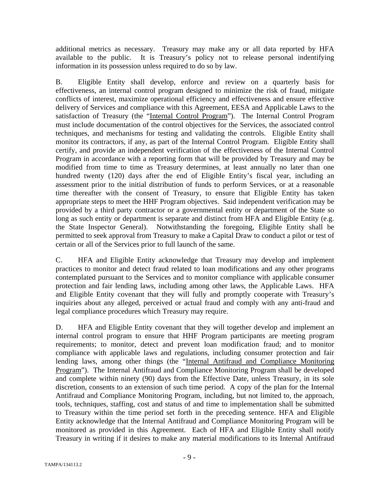additional metrics as necessary. Treasury may make any or all data reported by HFA available to the public. It is Treasury's policy not to release personal indentifying information in its possession unless required to do so by law.

B. Eligible Entity shall develop, enforce and review on a quarterly basis for effectiveness, an internal control program designed to minimize the risk of fraud, mitigate conflicts of interest, maximize operational efficiency and effectiveness and ensure effective delivery of Services and compliance with this Agreement, EESA and Applicable Laws to the satisfaction of Treasury (the "Internal Control Program"). The Internal Control Program must include documentation of the control objectives for the Services, the associated control techniques, and mechanisms for testing and validating the controls. Eligible Entity shall monitor its contractors, if any, as part of the Internal Control Program. Eligible Entity shall certify, and provide an independent verification of the effectiveness of the Internal Control Program in accordance with a reporting form that will be provided by Treasury and may be modified from time to time as Treasury determines, at least annually no later than one hundred twenty (120) days after the end of Eligible Entity's fiscal year, including an assessment prior to the initial distribution of funds to perform Services, or at a reasonable time thereafter with the consent of Treasury, to ensure that Eligible Entity has taken appropriate steps to meet the HHF Program objectives. Said independent verification may be provided by a third party contractor or a governmental entity or department of the State so long as such entity or department is separate and distinct from HFA and Eligible Entity (e.g. the State Inspector General). Notwithstanding the foregoing, Eligible Entity shall be permitted to seek approval from Treasury to make a Capital Draw to conduct a pilot or test of certain or all of the Services prior to full launch of the same.

C. HFA and Eligible Entity acknowledge that Treasury may develop and implement practices to monitor and detect fraud related to loan modifications and any other programs contemplated pursuant to the Services and to monitor compliance with applicable consumer protection and fair lending laws, including among other laws, the Applicable Laws. HFA and Eligible Entity covenant that they will fully and promptly cooperate with Treasury's inquiries about any alleged, perceived or actual fraud and comply with any anti-fraud and legal compliance procedures which Treasury may require.

D. HFA and Eligible Entity covenant that they will together develop and implement an internal control program to ensure that HHF Program participants are meeting program requirements; to monitor, detect and prevent loan modification fraud; and to monitor compliance with applicable laws and regulations, including consumer protection and fair lending laws, among other things (the "Internal Antifraud and Compliance Monitoring Program"). The Internal Antifraud and Compliance Monitoring Program shall be developed and complete within ninety (90) days from the Effective Date, unless Treasury, in its sole discretion, consents to an extension of such time period. A copy of the plan for the Internal Antifraud and Compliance Monitoring Program, including, but not limited to, the approach, tools, techniques, staffing, cost and status of and time to implementation shall be submitted to Treasury within the time period set forth in the preceding sentence. HFA and Eligible Entity acknowledge that the Internal Antifraud and Compliance Monitoring Program will be monitored as provided in this Agreement. Each of HFA and Eligible Entity shall notify Treasury in writing if it desires to make any material modifications to its Internal Antifraud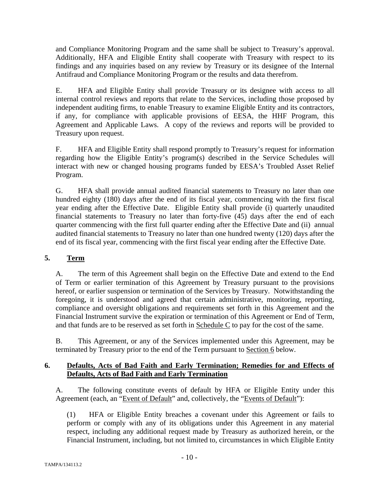and Compliance Monitoring Program and the same shall be subject to Treasury's approval. Additionally, HFA and Eligible Entity shall cooperate with Treasury with respect to its findings and any inquiries based on any review by Treasury or its designee of the Internal Antifraud and Compliance Monitoring Program or the results and data therefrom.

E. HFA and Eligible Entity shall provide Treasury or its designee with access to all internal control reviews and reports that relate to the Services, including those proposed by independent auditing firms, to enable Treasury to examine Eligible Entity and its contractors, if any, for compliance with applicable provisions of EESA, the HHF Program, this Agreement and Applicable Laws. A copy of the reviews and reports will be provided to Treasury upon request.

F. HFA and Eligible Entity shall respond promptly to Treasury's request for information regarding how the Eligible Entity's program(s) described in the Service Schedules will interact with new or changed housing programs funded by EESA's Troubled Asset Relief Program.

G. HFA shall provide annual audited financial statements to Treasury no later than one hundred eighty (180) days after the end of its fiscal year, commencing with the first fiscal year ending after the Effective Date. Eligible Entity shall provide (i) quarterly unaudited financial statements to Treasury no later than forty-five (45) days after the end of each quarter commencing with the first full quarter ending after the Effective Date and (ii) annual audited financial statements to Treasury no later than one hundred twenty (120) days after the end of its fiscal year, commencing with the first fiscal year ending after the Effective Date.

## **5. Term**

A. The term of this Agreement shall begin on the Effective Date and extend to the End of Term or earlier termination of this Agreement by Treasury pursuant to the provisions hereof, or earlier suspension or termination of the Services by Treasury. Notwithstanding the foregoing, it is understood and agreed that certain administrative, monitoring, reporting, compliance and oversight obligations and requirements set forth in this Agreement and the Financial Instrument survive the expiration or termination of this Agreement or End of Term, and that funds are to be reserved as set forth in Schedule C to pay for the cost of the same.

B. This Agreement, or any of the Services implemented under this Agreement, may be terminated by Treasury prior to the end of the Term pursuant to Section 6 below.

## **6. Defaults, Acts of Bad Faith and Early Termination; Remedies for and Effects of Defaults, Acts of Bad Faith and Early Termination**

A. The following constitute events of default by HFA or Eligible Entity under this Agreement (each, an "Event of Default" and, collectively, the "Events of Default"):

(1) HFA or Eligible Entity breaches a covenant under this Agreement or fails to perform or comply with any of its obligations under this Agreement in any material respect, including any additional request made by Treasury as authorized herein, or the Financial Instrument, including, but not limited to, circumstances in which Eligible Entity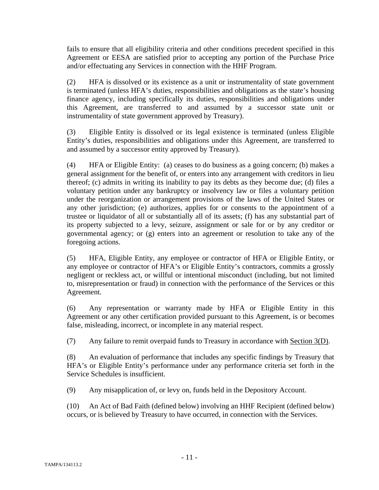fails to ensure that all eligibility criteria and other conditions precedent specified in this Agreement or EESA are satisfied prior to accepting any portion of the Purchase Price and/or effectuating any Services in connection with the HHF Program.

(2) HFA is dissolved or its existence as a unit or instrumentality of state government is terminated (unless HFA's duties, responsibilities and obligations as the state's housing finance agency, including specifically its duties, responsibilities and obligations under this Agreement, are transferred to and assumed by a successor state unit or instrumentality of state government approved by Treasury).

(3) Eligible Entity is dissolved or its legal existence is terminated (unless Eligible Entity's duties, responsibilities and obligations under this Agreement, are transferred to and assumed by a successor entity approved by Treasury).

(4) HFA or Eligible Entity: (a) ceases to do business as a going concern; (b) makes a general assignment for the benefit of, or enters into any arrangement with creditors in lieu thereof; (c) admits in writing its inability to pay its debts as they become due; (d) files a voluntary petition under any bankruptcy or insolvency law or files a voluntary petition under the reorganization or arrangement provisions of the laws of the United States or any other jurisdiction; (e) authorizes, applies for or consents to the appointment of a trustee or liquidator of all or substantially all of its assets; (f) has any substantial part of its property subjected to a levy, seizure, assignment or sale for or by any creditor or governmental agency; or (g) enters into an agreement or resolution to take any of the foregoing actions.

(5) HFA, Eligible Entity, any employee or contractor of HFA or Eligible Entity, or any employee or contractor of HFA's or Eligible Entity's contractors, commits a grossly negligent or reckless act, or willful or intentional misconduct (including, but not limited to, misrepresentation or fraud) in connection with the performance of the Services or this Agreement.

(6) Any representation or warranty made by HFA or Eligible Entity in this Agreement or any other certification provided pursuant to this Agreement, is or becomes false, misleading, incorrect, or incomplete in any material respect.

(7) Any failure to remit overpaid funds to Treasury in accordance with Section 3(D).

(8) An evaluation of performance that includes any specific findings by Treasury that HFA's or Eligible Entity's performance under any performance criteria set forth in the Service Schedules is insufficient.

(9) Any misapplication of, or levy on, funds held in the Depository Account.

(10) An Act of Bad Faith (defined below) involving an HHF Recipient (defined below) occurs, or is believed by Treasury to have occurred, in connection with the Services.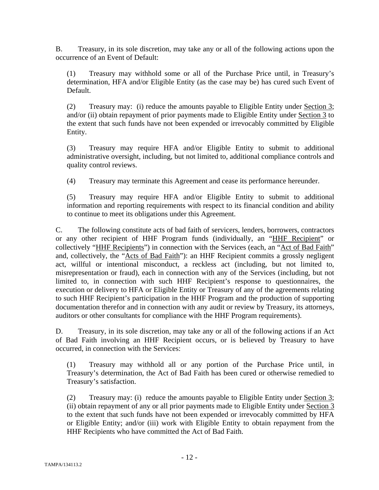B. Treasury, in its sole discretion, may take any or all of the following actions upon the occurrence of an Event of Default:

(1) Treasury may withhold some or all of the Purchase Price until, in Treasury's determination, HFA and/or Eligible Entity (as the case may be) has cured such Event of Default.

(2) Treasury may: (i) reduce the amounts payable to Eligible Entity under Section 3; and/or (ii) obtain repayment of prior payments made to Eligible Entity under Section 3 to the extent that such funds have not been expended or irrevocably committed by Eligible Entity.

(3) Treasury may require HFA and/or Eligible Entity to submit to additional administrative oversight, including, but not limited to, additional compliance controls and quality control reviews.

(4) Treasury may terminate this Agreement and cease its performance hereunder.

(5) Treasury may require HFA and/or Eligible Entity to submit to additional information and reporting requirements with respect to its financial condition and ability to continue to meet its obligations under this Agreement.

C. The following constitute acts of bad faith of servicers, lenders, borrowers, contractors or any other recipient of HHF Program funds (individually, an "HHF Recipient" or collectively "HHF Recipients") in connection with the Services (each, an "Act of Bad Faith" and, collectively, the "Acts of Bad Faith"): an HHF Recipient commits a grossly negligent act, willful or intentional misconduct, a reckless act (including, but not limited to, misrepresentation or fraud), each in connection with any of the Services (including, but not limited to, in connection with such HHF Recipient's response to questionnaires, the execution or delivery to HFA or Eligible Entity or Treasury of any of the agreements relating to such HHF Recipient's participation in the HHF Program and the production of supporting documentation therefor and in connection with any audit or review by Treasury, its attorneys, auditors or other consultants for compliance with the HHF Program requirements).

D. Treasury, in its sole discretion, may take any or all of the following actions if an Act of Bad Faith involving an HHF Recipient occurs, or is believed by Treasury to have occurred, in connection with the Services:

(1) Treasury may withhold all or any portion of the Purchase Price until, in Treasury's determination, the Act of Bad Faith has been cured or otherwise remedied to Treasury's satisfaction.

(2) Treasury may: (i) reduce the amounts payable to Eligible Entity under Section 3; (ii) obtain repayment of any or all prior payments made to Eligible Entity under Section 3 to the extent that such funds have not been expended or irrevocably committed by HFA or Eligible Entity; and/or (iii) work with Eligible Entity to obtain repayment from the HHF Recipients who have committed the Act of Bad Faith.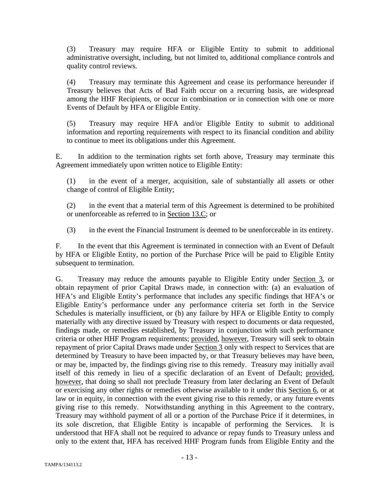(3) Treasury may require HFA or Eligible Entity to submit to additional administrative oversight, including, but not limited to, additional compliance controls and quality control reviews.

(4) Treasury may terminate this Agreement and cease its performance hereunder if Treasury believes that Acts of Bad Faith occur on a recurring basis, are widespread among the HHF Recipients, or occur in combination or in connection with one or more Events of Default by HFA or Eligible Entity.

(5) Treasury may require HFA and/or Eligible Entity to submit to additional information and reporting requirements with respect to its financial condition and ability to continue to meet its obligations under this Agreement.

E. In addition to the termination rights set forth above, Treasury may terminate this Agreement immediately upon written notice to Eligible Entity:

(1) in the event of a merger, acquisition, sale of substantially all assets or other change of control of Eligible Entity;

(2) in the event that a material term of this Agreement is determined to be prohibited or unenforceable as referred to in Section 13.C; or

(3) in the event the Financial Instrument is deemed to be unenforceable in its entirety.

F. In the event that this Agreement is terminated in connection with an Event of Default by HFA or Eligible Entity, no portion of the Purchase Price will be paid to Eligible Entity subsequent to termination.

G. Treasury may reduce the amounts payable to Eligible Entity under Section 3, or obtain repayment of prior Capital Draws made, in connection with: (a) an evaluation of HFA's and Eligible Entity's performance that includes any specific findings that HFA's or Eligible Entity's performance under any performance criteria set forth in the Service Schedules is materially insufficient, or (b) any failure by HFA or Eligible Entity to comply materially with any directive issued by Treasury with respect to documents or data requested, findings made, or remedies established, by Treasury in conjunction with such performance criteria or other HHF Program requirements; provided, however, Treasury will seek to obtain repayment of prior Capital Draws made under Section 3 only with respect to Services that are determined by Treasury to have been impacted by, or that Treasury believes may have been, or may be, impacted by, the findings giving rise to this remedy. Treasury may initially avail itself of this remedy in lieu of a specific declaration of an Event of Default; provided, however, that doing so shall not preclude Treasury from later declaring an Event of Default or exercising any other rights or remedies otherwise available to it under this Section 6, or at law or in equity, in connection with the event giving rise to this remedy, or any future events giving rise to this remedy. Notwithstanding anything in this Agreement to the contrary, Treasury may withhold payment of all or a portion of the Purchase Price if it determines, in its sole discretion, that Eligible Entity is incapable of performing the Services. It is understood that HFA shall not be required to advance or repay funds to Treasury unless and only to the extent that, HFA has received HHF Program funds from Eligible Entity and the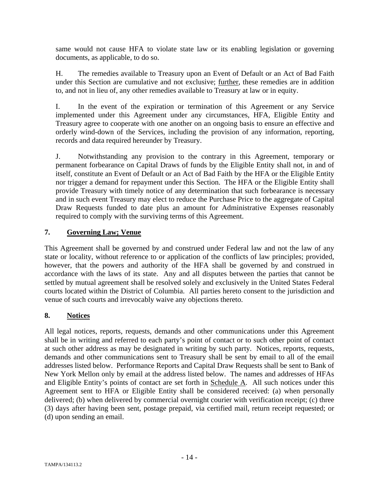same would not cause HFA to violate state law or its enabling legislation or governing documents, as applicable, to do so.

H. The remedies available to Treasury upon an Event of Default or an Act of Bad Faith under this Section are cumulative and not exclusive; further, these remedies are in addition to, and not in lieu of, any other remedies available to Treasury at law or in equity.

I. In the event of the expiration or termination of this Agreement or any Service implemented under this Agreement under any circumstances, HFA, Eligible Entity and Treasury agree to cooperate with one another on an ongoing basis to ensure an effective and orderly wind-down of the Services, including the provision of any information, reporting, records and data required hereunder by Treasury.

J. Notwithstanding any provision to the contrary in this Agreement, temporary or permanent forbearance on Capital Draws of funds by the Eligible Entity shall not, in and of itself, constitute an Event of Default or an Act of Bad Faith by the HFA or the Eligible Entity nor trigger a demand for repayment under this Section. The HFA or the Eligible Entity shall provide Treasury with timely notice of any determination that such forbearance is necessary and in such event Treasury may elect to reduce the Purchase Price to the aggregate of Capital Draw Requests funded to date plus an amount for Administrative Expenses reasonably required to comply with the surviving terms of this Agreement.

### **7. Governing Law; Venue**

This Agreement shall be governed by and construed under Federal law and not the law of any state or locality, without reference to or application of the conflicts of law principles; provided, however, that the powers and authority of the HFA shall be governed by and construed in accordance with the laws of its state. Any and all disputes between the parties that cannot be settled by mutual agreement shall be resolved solely and exclusively in the United States Federal courts located within the District of Columbia. All parties hereto consent to the jurisdiction and venue of such courts and irrevocably waive any objections thereto.

## **8. Notices**

All legal notices, reports, requests, demands and other communications under this Agreement shall be in writing and referred to each party's point of contact or to such other point of contact at such other address as may be designated in writing by such party. Notices, reports, requests, demands and other communications sent to Treasury shall be sent by email to all of the email addresses listed below. Performance Reports and Capital Draw Requests shall be sent to Bank of New York Mellon only by email at the address listed below. The names and addresses of HFAs and Eligible Entity's points of contact are set forth in Schedule A. All such notices under this Agreement sent to HFA or Eligible Entity shall be considered received: (a) when personally delivered; (b) when delivered by commercial overnight courier with verification receipt; (c) three (3) days after having been sent, postage prepaid, via certified mail, return receipt requested; or (d) upon sending an email.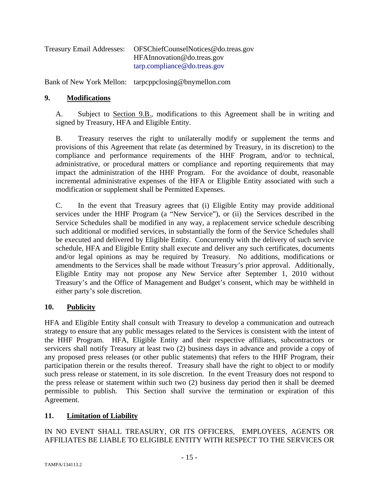| <b>Treasury Email Addresses:</b> | OFSChiefCounselNotices@do.treas.gov |
|----------------------------------|-------------------------------------|
|                                  | HFAInnovation@do.treas.gov          |
|                                  | tarp.compline@do.treas.gov          |

Bank of New York Mellon: tarpcppclosing@bnymellon.com

#### **9. Modifications**

A. Subject to Section 9.B., modifications to this Agreement shall be in writing and signed by Treasury, HFA and Eligible Entity.

B. Treasury reserves the right to unilaterally modify or supplement the terms and provisions of this Agreement that relate (as determined by Treasury, in its discretion) to the compliance and performance requirements of the HHF Program, and/or to technical, administrative, or procedural matters or compliance and reporting requirements that may impact the administration of the HHF Program. For the avoidance of doubt, reasonable incremental administrative expenses of the HFA or Eligible Entity associated with such a modification or supplement shall be Permitted Expenses.

C. In the event that Treasury agrees that (i) Eligible Entity may provide additional services under the HHF Program (a "New Service"), or (ii) the Services described in the Service Schedules shall be modified in any way, a replacement service schedule describing such additional or modified services, in substantially the form of the Service Schedules shall be executed and delivered by Eligible Entity. Concurrently with the delivery of such service schedule, HFA and Eligible Entity shall execute and deliver any such certificates, documents and/or legal opinions as may be required by Treasury. No additions, modifications or amendments to the Services shall be made without Treasury's prior approval. Additionally, Eligible Entity may not propose any New Service after September 1, 2010 without Treasury's and the Office of Management and Budget's consent, which may be withheld in either party's sole discretion.

### **10. Publicity**

HFA and Eligible Entity shall consult with Treasury to develop a communication and outreach strategy to ensure that any public messages related to the Services is consistent with the intent of the HHF Program. HFA, Eligible Entity and their respective affiliates, subcontractors or servicers shall notify Treasury at least two (2) business days in advance and provide a copy of any proposed press releases (or other public statements) that refers to the HHF Program, their participation therein or the results thereof. Treasury shall have the right to object to or modify such press release or statement, in its sole discretion. In the event Treasury does not respond to the press release or statement within such two (2) business day period then it shall be deemed permissible to publish. This Section shall survive the termination or expiration of this Agreement.

### **11. Limitation of Liability**

IN NO EVENT SHALL TREASURY, OR ITS OFFICERS, EMPLOYEES, AGENTS OR AFFILIATES BE LIABLE TO ELIGIBLE ENTITY WITH RESPECT TO THE SERVICES OR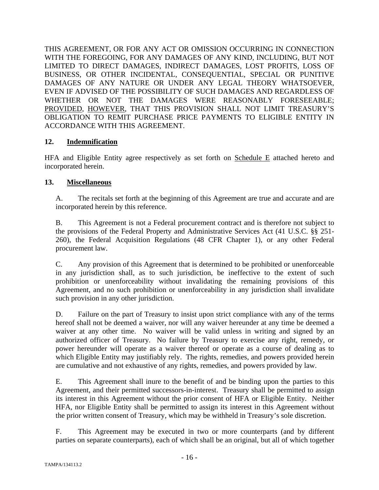THIS AGREEMENT, OR FOR ANY ACT OR OMISSION OCCURRING IN CONNECTION WITH THE FOREGOING, FOR ANY DAMAGES OF ANY KIND, INCLUDING, BUT NOT LIMITED TO DIRECT DAMAGES, INDIRECT DAMAGES, LOST PROFITS, LOSS OF BUSINESS, OR OTHER INCIDENTAL, CONSEQUENTIAL, SPECIAL OR PUNITIVE DAMAGES OF ANY NATURE OR UNDER ANY LEGAL THEORY WHATSOEVER, EVEN IF ADVISED OF THE POSSIBILITY OF SUCH DAMAGES AND REGARDLESS OF WHETHER OR NOT THE DAMAGES WERE REASONABLY FORESEEABLE; PROVIDED, HOWEVER, THAT THIS PROVISION SHALL NOT LIMIT TREASURY'S OBLIGATION TO REMIT PURCHASE PRICE PAYMENTS TO ELIGIBLE ENTITY IN ACCORDANCE WITH THIS AGREEMENT.

### **12. Indemnification**

HFA and Eligible Entity agree respectively as set forth on Schedule E attached hereto and incorporated herein.

## **13. Miscellaneous**

A. The recitals set forth at the beginning of this Agreement are true and accurate and are incorporated herein by this reference.

B. This Agreement is not a Federal procurement contract and is therefore not subject to the provisions of the Federal Property and Administrative Services Act (41 U.S.C. §§ 251- 260), the Federal Acquisition Regulations (48 CFR Chapter 1), or any other Federal procurement law.

C. Any provision of this Agreement that is determined to be prohibited or unenforceable in any jurisdiction shall, as to such jurisdiction, be ineffective to the extent of such prohibition or unenforceability without invalidating the remaining provisions of this Agreement, and no such prohibition or unenforceability in any jurisdiction shall invalidate such provision in any other jurisdiction.

D. Failure on the part of Treasury to insist upon strict compliance with any of the terms hereof shall not be deemed a waiver, nor will any waiver hereunder at any time be deemed a waiver at any other time. No waiver will be valid unless in writing and signed by an authorized officer of Treasury. No failure by Treasury to exercise any right, remedy, or power hereunder will operate as a waiver thereof or operate as a course of dealing as to which Eligible Entity may justifiably rely. The rights, remedies, and powers provided herein are cumulative and not exhaustive of any rights, remedies, and powers provided by law.

E. This Agreement shall inure to the benefit of and be binding upon the parties to this Agreement, and their permitted successors-in-interest. Treasury shall be permitted to assign its interest in this Agreement without the prior consent of HFA or Eligible Entity. Neither HFA, nor Eligible Entity shall be permitted to assign its interest in this Agreement without the prior written consent of Treasury, which may be withheld in Treasury's sole discretion.

F. This Agreement may be executed in two or more counterparts (and by different parties on separate counterparts), each of which shall be an original, but all of which together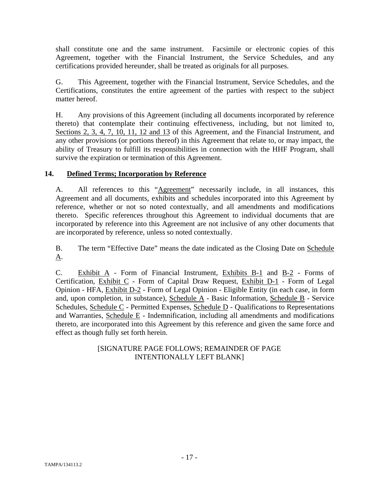shall constitute one and the same instrument. Facsimile or electronic copies of this Agreement, together with the Financial Instrument, the Service Schedules, and any certifications provided hereunder, shall be treated as originals for all purposes.

G. This Agreement, together with the Financial Instrument, Service Schedules, and the Certifications, constitutes the entire agreement of the parties with respect to the subject matter hereof.

H. Any provisions of this Agreement (including all documents incorporated by reference thereto) that contemplate their continuing effectiveness, including, but not limited to, Sections 2, 3, 4, 7, 10, 11, 12 and 13 of this Agreement, and the Financial Instrument, and any other provisions (or portions thereof) in this Agreement that relate to, or may impact, the ability of Treasury to fulfill its responsibilities in connection with the HHF Program, shall survive the expiration or termination of this Agreement.

## **14. Defined Terms; Incorporation by Reference**

A. All references to this "Agreement" necessarily include, in all instances, this Agreement and all documents, exhibits and schedules incorporated into this Agreement by reference, whether or not so noted contextually, and all amendments and modifications thereto. Specific references throughout this Agreement to individual documents that are incorporated by reference into this Agreement are not inclusive of any other documents that are incorporated by reference, unless so noted contextually.

B. The term "Effective Date" means the date indicated as the Closing Date on Schedule A.

C. Exhibit A - Form of Financial Instrument, Exhibits B-1 and B-2 - Forms of Certification, Exhibit C - Form of Capital Draw Request, Exhibit D-1 - Form of Legal Opinion - HFA, Exhibit D-2 - Form of Legal Opinion - Eligible Entity (in each case, in form and, upon completion, in substance), Schedule A - Basic Information, Schedule B - Service Schedules, Schedule C - Permitted Expenses, Schedule D - Qualifications to Representations and Warranties, Schedule E - Indemnification, including all amendments and modifications thereto, are incorporated into this Agreement by this reference and given the same force and effect as though fully set forth herein.

## [SIGNATURE PAGE FOLLOWS; REMAINDER OF PAGE INTENTIONALLY LEFT BLANK]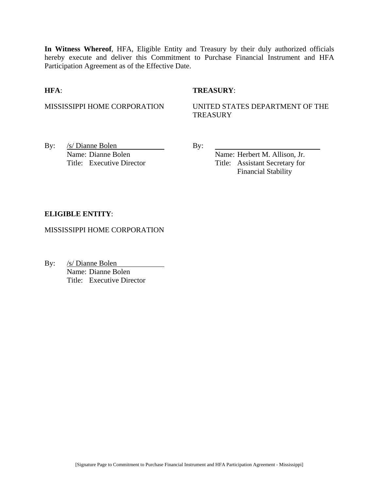**In Witness Whereof**, HFA, Eligible Entity and Treasury by their duly authorized officials hereby execute and deliver this Commitment to Purchase Financial Instrument and HFA Participation Agreement as of the Effective Date.

#### **HFA**: **TREASURY**:

MISSISSIPPI HOME CORPORATION UNITED STATES DEPARTMENT OF THE **TREASURY** 

By:  $/s/Di$  anne Bolen By: Name: Dianne Bolen Name: Herbert M. Allison, Jr.

Title: Executive Director Title: Assistant Secretary for Financial Stability

#### **ELIGIBLE ENTITY**:

MISSISSIPPI HOME CORPORATION

By: /s/ Dianne Bolen Name: Dianne Bolen Title: Executive Director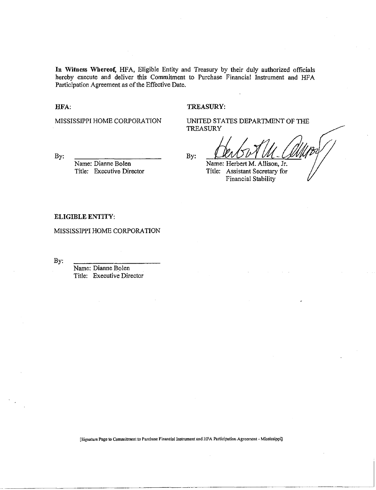In Witness Whereof, HFA, Eligible Entity and Treasury by their duly authorized officials hereby execute and deliver this Commitment to Purchase Financial Instrument and HFA Participation Agreement as of the Effective Date.

HFA:

#### TREASURY:

MISSISSIPPI HOME CORPORATION

UNITED STATES DEPARTMENT OF THE **TREASURY** 

By:

Name: Dianne Bolen Title: Executive Director By:

Name: Herbert M. Allison, Jr.

Title: Assistant Secretary for Financial Stability

#### ELIGIBLE ENTITY:

MISSISSIPPI HOME CORPORATION

By:

Name: Dianne Bolen Title: Executive Director

[Signature Page to Commitment to Purchase Finaneiallnstrument and HFA Participation Agreement - Mississippi]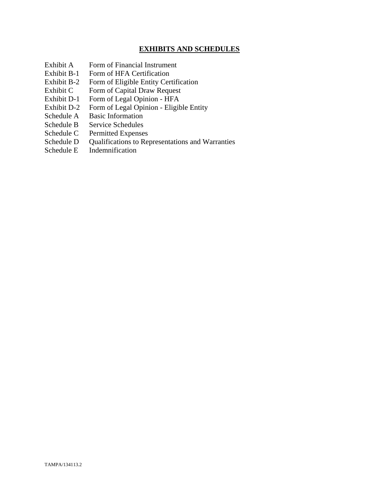### **EXHIBITS AND SCHEDULES**

- Exhibit A Form of Financial Instrument
- Exhibit B-1 Form of HFA Certification
- Exhibit B-2 Form of Eligible Entity Certification
- Exhibit C Form of Capital Draw Request
- Exhibit D-1 Form of Legal Opinion HFA
- Exhibit D-2 Form of Legal Opinion Eligible Entity
- Schedule A Basic Information
- Schedule B Service Schedules
- Schedule C Permitted Expenses
- Schedule D Qualifications to Representations and Warranties
- Schedule E Indemnification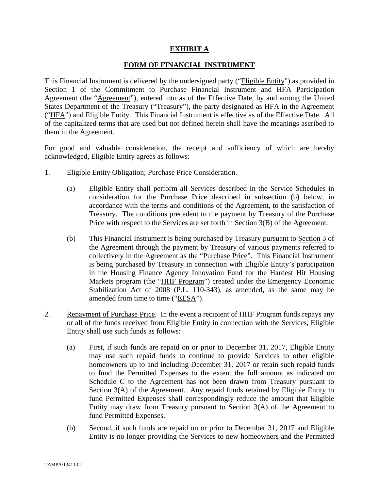#### **EXHIBIT A**

#### **FORM OF FINANCIAL INSTRUMENT**

This Financial Instrument is delivered by the undersigned party ("Eligible Entity") as provided in Section 1 of the Commitment to Purchase Financial Instrument and HFA Participation Agreement (the "Agreement"), entered into as of the Effective Date, by and among the United States Department of the Treasury ("Treasury"), the party designated as HFA in the Agreement ("HFA") and Eligible Entity. This Financial Instrument is effective as of the Effective Date. All of the capitalized terms that are used but not defined herein shall have the meanings ascribed to them in the Agreement.

For good and valuable consideration, the receipt and sufficiency of which are hereby acknowledged, Eligible Entity agrees as follows:

- 1. Eligible Entity Obligation; Purchase Price Consideration.
	- (a) Eligible Entity shall perform all Services described in the Service Schedules in consideration for the Purchase Price described in subsection (b) below, in accordance with the terms and conditions of the Agreement, to the satisfaction of Treasury. The conditions precedent to the payment by Treasury of the Purchase Price with respect to the Services are set forth in Section 3(B) of the Agreement.
	- (b) This Financial Instrument is being purchased by Treasury pursuant to Section 3 of the Agreement through the payment by Treasury of various payments referred to collectively in the Agreement as the "Purchase Price". This Financial Instrument is being purchased by Treasury in connection with Eligible Entity's participation in the Housing Finance Agency Innovation Fund for the Hardest Hit Housing Markets program (the "HHF Program") created under the Emergency Economic Stabilization Act of 2008 (P.L. 110-343), as amended, as the same may be amended from time to time ("EESA").
- 2. Repayment of Purchase Price. In the event a recipient of HHF Program funds repays any or all of the funds received from Eligible Entity in connection with the Services, Eligible Entity shall use such funds as follows:
	- (a) First, if such funds are repaid on or prior to December 31, 2017, Eligible Entity may use such repaid funds to continue to provide Services to other eligible homeowners up to and including December 31, 2017 or retain such repaid funds to fund the Permitted Expenses to the extent the full amount as indicated on Schedule C to the Agreement has not been drawn from Treasury pursuant to Section 3(A) of the Agreement. Any repaid funds retained by Eligible Entity to fund Permitted Expenses shall correspondingly reduce the amount that Eligible Entity may draw from Treasury pursuant to Section 3(A) of the Agreement to fund Permitted Expenses.
	- (b) Second, if such funds are repaid on or prior to December 31, 2017 and Eligible Entity is no longer providing the Services to new homeowners and the Permitted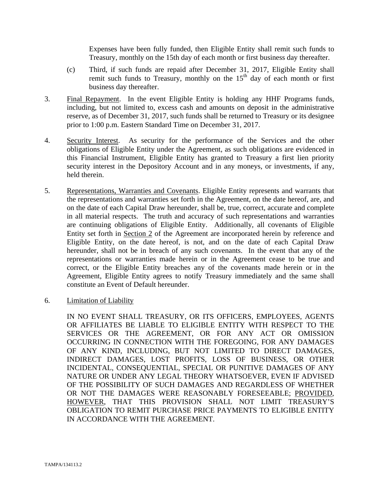Expenses have been fully funded, then Eligible Entity shall remit such funds to Treasury, monthly on the 15th day of each month or first business day thereafter.

- (c) Third, if such funds are repaid after December 31, 2017, Eligible Entity shall remit such funds to Treasury, monthly on the  $15<sup>th</sup>$  day of each month or first business day thereafter.
- 3. Final Repayment. In the event Eligible Entity is holding any HHF Programs funds, including, but not limited to, excess cash and amounts on deposit in the administrative reserve, as of December 31, 2017, such funds shall be returned to Treasury or its designee prior to 1:00 p.m. Eastern Standard Time on December 31, 2017.
- 4. Security Interest. As security for the performance of the Services and the other obligations of Eligible Entity under the Agreement, as such obligations are evidenced in this Financial Instrument, Eligible Entity has granted to Treasury a first lien priority security interest in the Depository Account and in any moneys, or investments, if any, held therein.
- 5. Representations, Warranties and Covenants. Eligible Entity represents and warrants that the representations and warranties set forth in the Agreement, on the date hereof, are, and on the date of each Capital Draw hereunder, shall be, true, correct, accurate and complete in all material respects. The truth and accuracy of such representations and warranties are continuing obligations of Eligible Entity. Additionally, all covenants of Eligible Entity set forth in Section 2 of the Agreement are incorporated herein by reference and Eligible Entity, on the date hereof, is not, and on the date of each Capital Draw hereunder, shall not be in breach of any such covenants. In the event that any of the representations or warranties made herein or in the Agreement cease to be true and correct, or the Eligible Entity breaches any of the covenants made herein or in the Agreement, Eligible Entity agrees to notify Treasury immediately and the same shall constitute an Event of Default hereunder.
- 6. Limitation of Liability

IN NO EVENT SHALL TREASURY, OR ITS OFFICERS, EMPLOYEES, AGENTS OR AFFILIATES BE LIABLE TO ELIGIBLE ENTITY WITH RESPECT TO THE SERVICES OR THE AGREEMENT, OR FOR ANY ACT OR OMISSION OCCURRING IN CONNECTION WITH THE FOREGOING, FOR ANY DAMAGES OF ANY KIND, INCLUDING, BUT NOT LIMITED TO DIRECT DAMAGES, INDIRECT DAMAGES, LOST PROFITS, LOSS OF BUSINESS, OR OTHER INCIDENTAL, CONSEQUENTIAL, SPECIAL OR PUNITIVE DAMAGES OF ANY NATURE OR UNDER ANY LEGAL THEORY WHATSOEVER, EVEN IF ADVISED OF THE POSSIBILITY OF SUCH DAMAGES AND REGARDLESS OF WHETHER OR NOT THE DAMAGES WERE REASONABLY FORESEEABLE; PROVIDED, HOWEVER, THAT THIS PROVISION SHALL NOT LIMIT TREASURY'S OBLIGATION TO REMIT PURCHASE PRICE PAYMENTS TO ELIGIBLE ENTITY IN ACCORDANCE WITH THE AGREEMENT.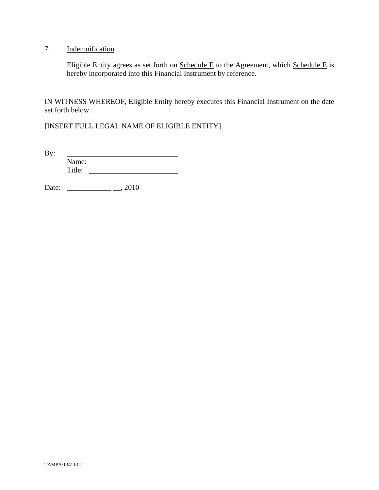## 7. Indemnification

Eligible Entity agrees as set forth on  $S$ chedule E to the Agreement, which  $S$ chedule E is hereby incorporated into this Financial Instrument by reference.

IN WITNESS WHEREOF, Eligible Entity hereby executes this Financial Instrument on the date set forth below.

[INSERT FULL LEGAL NAME OF ELIGIBLE ENTITY]

By: <u> 1989 - Johann Barbara, martin a</u> Name: Title:

Date: \_\_\_\_\_\_\_\_\_\_\_\_ \_\_, 2010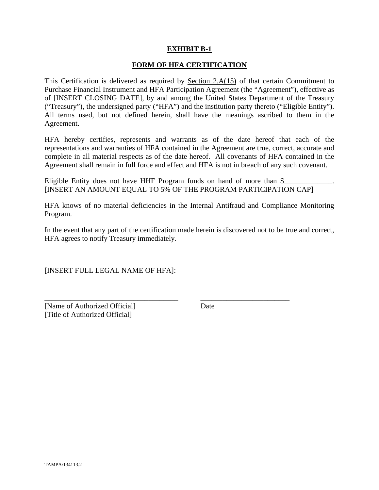#### **EXHIBIT B-1**

#### **FORM OF HFA CERTIFICATION**

This Certification is delivered as required by Section  $2.A(15)$  of that certain Commitment to Purchase Financial Instrument and HFA Participation Agreement (the "Agreement"), effective as of [INSERT CLOSING DATE], by and among the United States Department of the Treasury ("Treasury"), the undersigned party ("HFA") and the institution party thereto ("Eligible Entity"). All terms used, but not defined herein, shall have the meanings ascribed to them in the Agreement.

HFA hereby certifies, represents and warrants as of the date hereof that each of the representations and warranties of HFA contained in the Agreement are true, correct, accurate and complete in all material respects as of the date hereof. All covenants of HFA contained in the Agreement shall remain in full force and effect and HFA is not in breach of any such covenant.

Eligible Entity does not have HHF Program funds on hand of more than  $\frac{1}{2}$ [INSERT AN AMOUNT EQUAL TO 5% OF THE PROGRAM PARTICIPATION CAP]

HFA knows of no material deficiencies in the Internal Antifraud and Compliance Monitoring Program.

In the event that any part of the certification made herein is discovered not to be true and correct, HFA agrees to notify Treasury immediately.

\_\_\_\_\_\_\_\_\_\_\_\_\_\_\_\_\_\_\_\_\_\_\_\_\_\_\_\_\_\_\_\_\_\_\_\_ \_\_\_\_\_\_\_\_\_\_\_\_\_\_\_\_\_\_\_\_\_\_\_\_

[INSERT FULL LEGAL NAME OF HFA]:

[Name of Authorized Official] Date [Title of Authorized Official]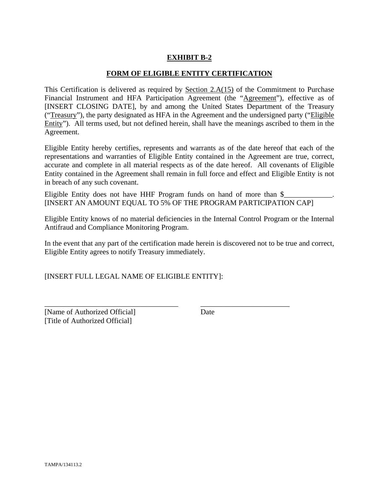## **EXHIBIT B-2**

#### **FORM OF ELIGIBLE ENTITY CERTIFICATION**

This Certification is delivered as required by Section 2.A(15) of the Commitment to Purchase Financial Instrument and HFA Participation Agreement (the "Agreement"), effective as of [INSERT CLOSING DATE], by and among the United States Department of the Treasury ("Treasury"), the party designated as HFA in the Agreement and the undersigned party ("Eligible Entity"). All terms used, but not defined herein, shall have the meanings ascribed to them in the Agreement.

Eligible Entity hereby certifies, represents and warrants as of the date hereof that each of the representations and warranties of Eligible Entity contained in the Agreement are true, correct, accurate and complete in all material respects as of the date hereof. All covenants of Eligible Entity contained in the Agreement shall remain in full force and effect and Eligible Entity is not in breach of any such covenant.

Eligible Entity does not have HHF Program funds on hand of more than  $\$ [INSERT AN AMOUNT EQUAL TO 5% OF THE PROGRAM PARTICIPATION CAP]

Eligible Entity knows of no material deficiencies in the Internal Control Program or the Internal Antifraud and Compliance Monitoring Program.

In the event that any part of the certification made herein is discovered not to be true and correct, Eligible Entity agrees to notify Treasury immediately.

\_\_\_\_\_\_\_\_\_\_\_\_\_\_\_\_\_\_\_\_\_\_\_\_\_\_\_\_\_\_\_\_\_\_\_\_ \_\_\_\_\_\_\_\_\_\_\_\_\_\_\_\_\_\_\_\_\_\_\_\_

[INSERT FULL LEGAL NAME OF ELIGIBLE ENTITY]:

[Name of Authorized Official] Date [Title of Authorized Official]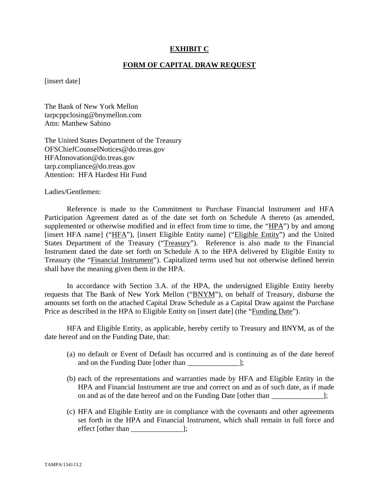#### **EXHIBIT C**

#### **FORM OF CAPITAL DRAW REQUEST**

[insert date]

The Bank of New York Mellon tarpcppclosing@bnymellon.com Attn: Matthew Sabino

The United States Department of the Treasury OFSChiefCounselNotices@do.treas.gov HFAInnovation@do.treas.gov tarp.compliance@do.treas.gov Attention: HFA Hardest Hit Fund

Ladies/Gentlemen:

 Reference is made to the Commitment to Purchase Financial Instrument and HFA Participation Agreement dated as of the date set forth on Schedule A thereto (as amended, supplemented or otherwise modified and in effect from time to time, the "HPA") by and among [insert HFA name] ("HFA"), [insert Eligible Entity name] ("Eligible Entity") and the United States Department of the Treasury ("Treasury"). Reference is also made to the Financial Instrument dated the date set forth on Schedule A to the HPA delivered by Eligible Entity to Treasury (the "Financial Instrument"). Capitalized terms used but not otherwise defined herein shall have the meaning given them in the HPA.

 In accordance with Section 3.A. of the HPA, the undersigned Eligible Entity hereby requests that The Bank of New York Mellon ("BNYM"), on behalf of Treasury, disburse the amounts set forth on the attached Capital Draw Schedule as a Capital Draw against the Purchase Price as described in the HPA to Eligible Entity on [insert date] (the "Funding Date").

 HFA and Eligible Entity, as applicable, hereby certify to Treasury and BNYM, as of the date hereof and on the Funding Date, that:

- (a) no default or Event of Default has occurred and is continuing as of the date hereof and on the Funding Date [other than  $\Box$ ];
- (b) each of the representations and warranties made by HFA and Eligible Entity in the HPA and Financial Instrument are true and correct on and as of such date, as if made on and as of the date hereof and on the Funding Date [other than ];
- (c) HFA and Eligible Entity are in compliance with the covenants and other agreements set forth in the HPA and Financial Instrument, which shall remain in full force and effect [other than \_\_\_\_\_\_\_\_\_\_\_\_\_\_];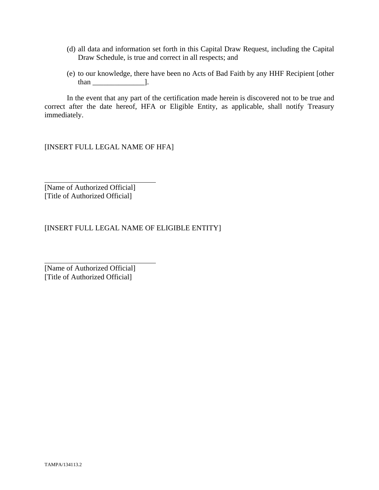- (d) all data and information set forth in this Capital Draw Request, including the Capital Draw Schedule, is true and correct in all respects; and
- (e) to our knowledge, there have been no Acts of Bad Faith by any HHF Recipient [other than  $\qquad$  ].

 In the event that any part of the certification made herein is discovered not to be true and correct after the date hereof, HFA or Eligible Entity, as applicable, shall notify Treasury immediately.

[INSERT FULL LEGAL NAME OF HFA]

[Name of Authorized Official] [Title of Authorized Official]

 $\overline{a}$ 

 $\overline{a}$ 

[INSERT FULL LEGAL NAME OF ELIGIBLE ENTITY]

[Name of Authorized Official] [Title of Authorized Official]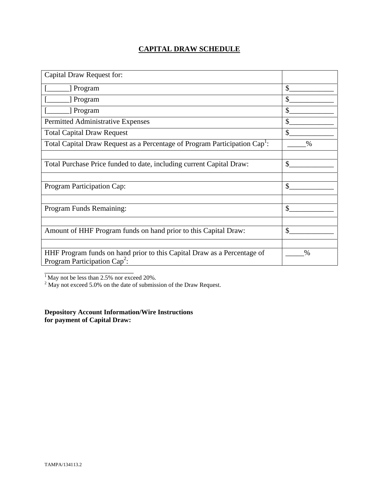## **CAPITAL DRAW SCHEDULE**

| Capital Draw Request for:                                                                                  |               |
|------------------------------------------------------------------------------------------------------------|---------------|
| [ Program                                                                                                  | \$            |
| [ Program                                                                                                  | \$            |
| Program                                                                                                    | \$            |
| Permitted Administrative Expenses                                                                          | \$            |
| <b>Total Capital Draw Request</b>                                                                          | $\mathbb{S}$  |
| Total Capital Draw Request as a Percentage of Program Participation Cap <sup>1</sup> :                     | $\frac{0}{0}$ |
|                                                                                                            |               |
| Total Purchase Price funded to date, including current Capital Draw:                                       | \$            |
|                                                                                                            |               |
| Program Participation Cap:                                                                                 | \$            |
|                                                                                                            |               |
| Program Funds Remaining:                                                                                   | $\mathcal{S}$ |
|                                                                                                            |               |
| Amount of HHF Program funds on hand prior to this Capital Draw:                                            | \$            |
|                                                                                                            |               |
| HHF Program funds on hand prior to this Capital Draw as a Percentage of<br>Program Participation $Cap^2$ : | $\%$          |
|                                                                                                            |               |

<sup>1</sup> May not be less than 2.5% nor exceed 20%.<br><sup>2</sup> May not exceed 5.0% on the date of submission of the Draw Request.

**Depository Account Information/Wire Instructions for payment of Capital Draw:**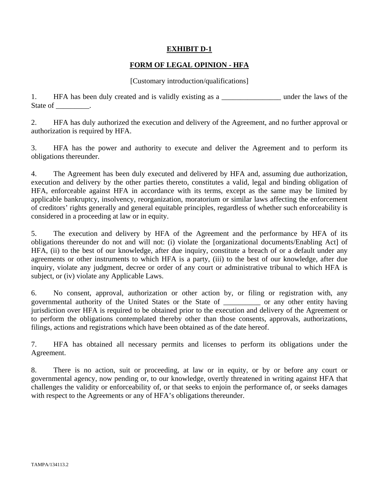### **EXHIBIT D-1**

### **FORM OF LEGAL OPINION - HFA**

#### [Customary introduction/qualifications]

1. HFA has been duly created and is validly existing as a \_\_\_\_\_\_\_\_\_\_\_\_\_\_\_\_\_\_\_\_ under the laws of the State of \_\_\_\_\_\_\_\_\_.

2. HFA has duly authorized the execution and delivery of the Agreement, and no further approval or authorization is required by HFA.

3. HFA has the power and authority to execute and deliver the Agreement and to perform its obligations thereunder.

4. The Agreement has been duly executed and delivered by HFA and, assuming due authorization, execution and delivery by the other parties thereto, constitutes a valid, legal and binding obligation of HFA, enforceable against HFA in accordance with its terms, except as the same may be limited by applicable bankruptcy, insolvency, reorganization, moratorium or similar laws affecting the enforcement of creditors' rights generally and general equitable principles, regardless of whether such enforceability is considered in a proceeding at law or in equity.

5. The execution and delivery by HFA of the Agreement and the performance by HFA of its obligations thereunder do not and will not: (i) violate the [organizational documents/Enabling Act] of HFA, (ii) to the best of our knowledge, after due inquiry, constitute a breach of or a default under any agreements or other instruments to which HFA is a party, (iii) to the best of our knowledge, after due inquiry, violate any judgment, decree or order of any court or administrative tribunal to which HFA is subject, or (iv) violate any Applicable Laws.

6. No consent, approval, authorization or other action by, or filing or registration with, any governmental authority of the United States or the State of \_\_\_\_\_\_\_\_\_\_ or any other entity having jurisdiction over HFA is required to be obtained prior to the execution and delivery of the Agreement or to perform the obligations contemplated thereby other than those consents, approvals, authorizations, filings, actions and registrations which have been obtained as of the date hereof.

7. HFA has obtained all necessary permits and licenses to perform its obligations under the Agreement.

8. There is no action, suit or proceeding, at law or in equity, or by or before any court or governmental agency, now pending or, to our knowledge, overtly threatened in writing against HFA that challenges the validity or enforceability of, or that seeks to enjoin the performance of, or seeks damages with respect to the Agreements or any of HFA's obligations thereunder.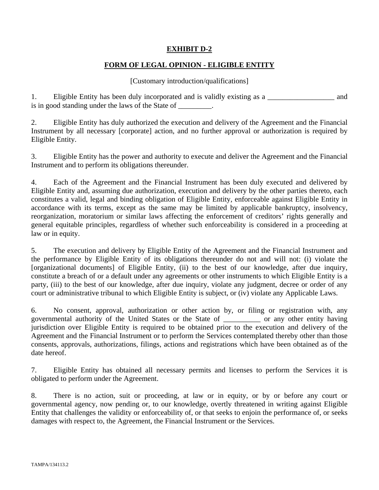## **EXHIBIT D-2**

## **FORM OF LEGAL OPINION - ELIGIBLE ENTITY**

#### [Customary introduction/qualifications]

1. Eligible Entity has been duly incorporated and is validly existing as a \_\_\_\_\_\_\_\_\_\_\_\_\_\_\_\_\_\_ and is in good standing under the laws of the State of \_\_\_\_\_\_\_\_.

2. Eligible Entity has duly authorized the execution and delivery of the Agreement and the Financial Instrument by all necessary [corporate] action, and no further approval or authorization is required by Eligible Entity.

3. Eligible Entity has the power and authority to execute and deliver the Agreement and the Financial Instrument and to perform its obligations thereunder.

4. Each of the Agreement and the Financial Instrument has been duly executed and delivered by Eligible Entity and, assuming due authorization, execution and delivery by the other parties thereto, each constitutes a valid, legal and binding obligation of Eligible Entity, enforceable against Eligible Entity in accordance with its terms, except as the same may be limited by applicable bankruptcy, insolvency, reorganization, moratorium or similar laws affecting the enforcement of creditors' rights generally and general equitable principles, regardless of whether such enforceability is considered in a proceeding at law or in equity.

5. The execution and delivery by Eligible Entity of the Agreement and the Financial Instrument and the performance by Eligible Entity of its obligations thereunder do not and will not: (i) violate the [organizational documents] of Eligible Entity, (ii) to the best of our knowledge, after due inquiry, constitute a breach of or a default under any agreements or other instruments to which Eligible Entity is a party, (iii) to the best of our knowledge, after due inquiry, violate any judgment, decree or order of any court or administrative tribunal to which Eligible Entity is subject, or (iv) violate any Applicable Laws.

6. No consent, approval, authorization or other action by, or filing or registration with, any governmental authority of the United States or the State of \_\_\_\_\_\_\_\_\_\_ or any other entity having jurisdiction over Eligible Entity is required to be obtained prior to the execution and delivery of the Agreement and the Financial Instrument or to perform the Services contemplated thereby other than those consents, approvals, authorizations, filings, actions and registrations which have been obtained as of the date hereof.

7. Eligible Entity has obtained all necessary permits and licenses to perform the Services it is obligated to perform under the Agreement.

8. There is no action, suit or proceeding, at law or in equity, or by or before any court or governmental agency, now pending or, to our knowledge, overtly threatened in writing against Eligible Entity that challenges the validity or enforceability of, or that seeks to enjoin the performance of, or seeks damages with respect to, the Agreement, the Financial Instrument or the Services.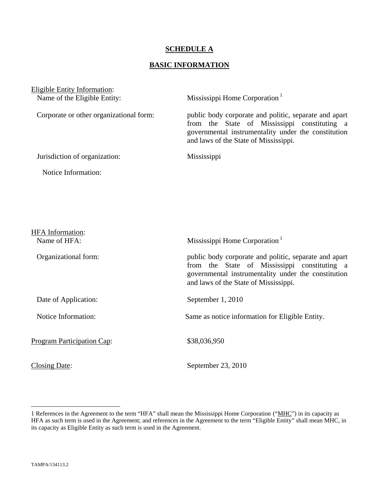#### **SCHEDULE A**

## **BASIC INFORMATION**

| Eligible Entity Information:            |                                                                                                                                                                                                       |
|-----------------------------------------|-------------------------------------------------------------------------------------------------------------------------------------------------------------------------------------------------------|
| Name of the Eligible Entity:            | Mississippi Home Corporation <sup>1</sup>                                                                                                                                                             |
| Corporate or other organizational form: | public body corporate and politic, separate and apart<br>from the State of Mississippi constituting a<br>governmental instrumentality under the constitution<br>and laws of the State of Mississippi. |
| Jurisdiction of organization:           | Mississippi                                                                                                                                                                                           |
| Notice Information:                     |                                                                                                                                                                                                       |
|                                         |                                                                                                                                                                                                       |
|                                         |                                                                                                                                                                                                       |
| HFA Information:                        |                                                                                                                                                                                                       |

| Name of HFA:               | Mississippi Home Corporation <sup>1</sup>                                                                                                                                                             |  |
|----------------------------|-------------------------------------------------------------------------------------------------------------------------------------------------------------------------------------------------------|--|
| Organizational form:       | public body corporate and politic, separate and apart<br>from the State of Mississippi constituting a<br>governmental instrumentality under the constitution<br>and laws of the State of Mississippi. |  |
| Date of Application:       | September 1, 2010                                                                                                                                                                                     |  |
| Notice Information:        | Same as notice information for Eligible Entity.                                                                                                                                                       |  |
| Program Participation Cap: | \$38,036,950                                                                                                                                                                                          |  |
| Closing Date:              | September 23, 2010                                                                                                                                                                                    |  |

 $\overline{a}$ 

<sup>1</sup> References in the Agreement to the term "HFA" shall mean the Mississippi Home Corporation ("MHC") in its capacity as HFA as such term is used in the Agreement; and references in the Agreement to the term "Eligible Entity" shall mean MHC, in its capacity as Eligible Entity as such term is used in the Agreement.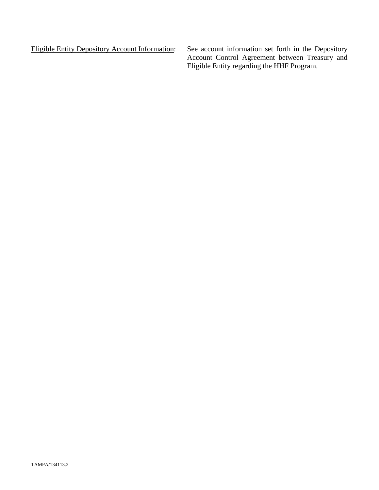Eligible Entity Depository Account Information: See account information set forth in the Depository Account Control Agreement between Treasury and Eligible Entity regarding the HHF Program.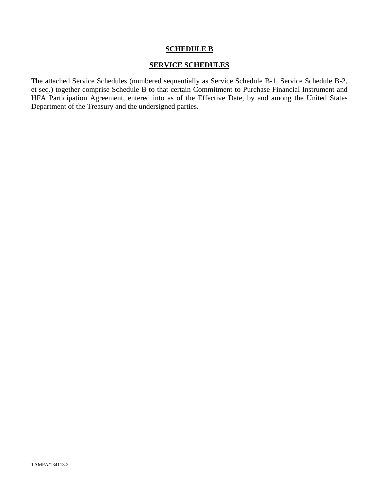#### **SCHEDULE B**

#### **SERVICE SCHEDULES**

The attached Service Schedules (numbered sequentially as Service Schedule B-1, Service Schedule B-2, et seq.) together comprise Schedule B to that certain Commitment to Purchase Financial Instrument and HFA Participation Agreement, entered into as of the Effective Date, by and among the United States Department of the Treasury and the undersigned parties.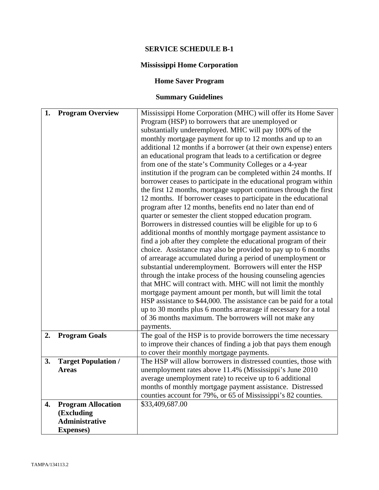## **SERVICE SCHEDULE B-1**

## **Mississippi Home Corporation**

## **Home Saver Program**

# **Summary Guidelines**

| 1. | <b>Program Overview</b>                                       | Mississippi Home Corporation (MHC) will offer its Home Saver       |
|----|---------------------------------------------------------------|--------------------------------------------------------------------|
|    |                                                               | Program (HSP) to borrowers that are unemployed or                  |
|    |                                                               | substantially underemployed. MHC will pay 100% of the              |
|    |                                                               | monthly mortgage payment for up to 12 months and up to an          |
|    |                                                               | additional 12 months if a borrower (at their own expense) enters   |
|    |                                                               | an educational program that leads to a certification or degree     |
|    |                                                               | from one of the state's Community Colleges or a 4-year             |
|    |                                                               | institution if the program can be completed within 24 months. If   |
|    |                                                               | borrower ceases to participate in the educational program within   |
|    |                                                               | the first 12 months, mortgage support continues through the first  |
|    |                                                               |                                                                    |
|    |                                                               | 12 months. If borrower ceases to participate in the educational    |
|    |                                                               | program after 12 months, benefits end no later than end of         |
|    |                                                               | quarter or semester the client stopped education program.          |
|    |                                                               | Borrowers in distressed counties will be eligible for up to 6      |
|    |                                                               | additional months of monthly mortgage payment assistance to        |
|    |                                                               | find a job after they complete the educational program of their    |
|    |                                                               | choice. Assistance may also be provided to pay up to 6 months      |
|    |                                                               | of arrearage accumulated during a period of unemployment or        |
|    |                                                               | substantial underemployment. Borrowers will enter the HSP          |
|    | through the intake process of the housing counseling agencies |                                                                    |
|    |                                                               | that MHC will contract with. MHC will not limit the monthly        |
|    |                                                               | mortgage payment amount per month, but will limit the total        |
|    |                                                               | HSP assistance to \$44,000. The assistance can be paid for a total |
|    |                                                               | up to 30 months plus 6 months arrearage if necessary for a total   |
|    |                                                               | of 36 months maximum. The borrowers will not make any              |
|    |                                                               |                                                                    |
| 2. |                                                               | payments.                                                          |
|    | <b>Program Goals</b>                                          | The goal of the HSP is to provide borrowers the time necessary     |
|    |                                                               | to improve their chances of finding a job that pays them enough    |
|    |                                                               | to cover their monthly mortgage payments.                          |
| 3. | <b>Target Population /</b>                                    | The HSP will allow borrowers in distressed counties, those with    |
|    | <b>Areas</b>                                                  | unemployment rates above 11.4% (Mississippi's June 2010            |
|    |                                                               | average unemployment rate) to receive up to 6 additional           |
|    |                                                               | months of monthly mortgage payment assistance. Distressed          |
|    |                                                               | counties account for 79%, or 65 of Mississippi's 82 counties.      |
| 4. | <b>Program Allocation</b>                                     | \$33,409,687.00                                                    |
|    | (Excluding                                                    |                                                                    |
|    | <b>Administrative</b>                                         |                                                                    |
|    | <b>Expenses</b> )                                             |                                                                    |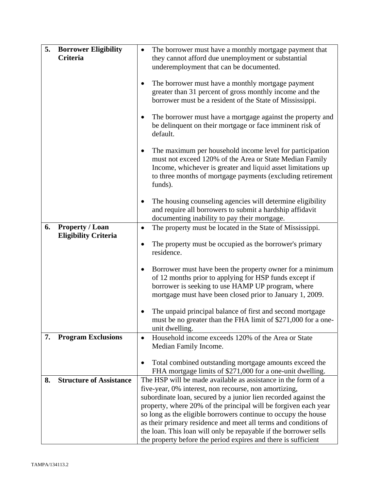| 5. | <b>Borrower Eligibility</b>    | The borrower must have a monthly mortgage payment that                                                                                                                                                                                                                                                                                                                                                                                                                                                                                  |  |
|----|--------------------------------|-----------------------------------------------------------------------------------------------------------------------------------------------------------------------------------------------------------------------------------------------------------------------------------------------------------------------------------------------------------------------------------------------------------------------------------------------------------------------------------------------------------------------------------------|--|
|    | Criteria                       | they cannot afford due unemployment or substantial<br>underemployment that can be documented.                                                                                                                                                                                                                                                                                                                                                                                                                                           |  |
|    |                                | The borrower must have a monthly mortgage payment<br>٠<br>greater than 31 percent of gross monthly income and the<br>borrower must be a resident of the State of Mississippi.                                                                                                                                                                                                                                                                                                                                                           |  |
|    |                                | The borrower must have a mortgage against the property and<br>be delinquent on their mortgage or face imminent risk of<br>default.                                                                                                                                                                                                                                                                                                                                                                                                      |  |
|    |                                | The maximum per household income level for participation<br>$\bullet$<br>must not exceed 120% of the Area or State Median Family<br>Income, whichever is greater and liquid asset limitations up<br>to three months of mortgage payments (excluding retirement<br>funds).                                                                                                                                                                                                                                                               |  |
|    |                                | The housing counseling agencies will determine eligibility<br>٠<br>and require all borrowers to submit a hardship affidavit<br>documenting inability to pay their mortgage.                                                                                                                                                                                                                                                                                                                                                             |  |
| 6. | <b>Property / Loan</b>         | The property must be located in the State of Mississippi.<br>٠                                                                                                                                                                                                                                                                                                                                                                                                                                                                          |  |
|    | <b>Eligibility Criteria</b>    | The property must be occupied as the borrower's primary<br>residence.                                                                                                                                                                                                                                                                                                                                                                                                                                                                   |  |
|    |                                | Borrower must have been the property owner for a minimum<br>٠<br>of 12 months prior to applying for HSP funds except if<br>borrower is seeking to use HAMP UP program, where<br>mortgage must have been closed prior to January 1, 2009.                                                                                                                                                                                                                                                                                                |  |
|    |                                | The unpaid principal balance of first and second mortgage<br>must be no greater than the FHA limit of \$271,000 for a one-<br>unit dwelling.                                                                                                                                                                                                                                                                                                                                                                                            |  |
| 7. | <b>Program Exclusions</b>      | Household income exceeds 120% of the Area or State<br>Median Family Income.                                                                                                                                                                                                                                                                                                                                                                                                                                                             |  |
|    |                                | Total combined outstanding mortgage amounts exceed the<br>FHA mortgage limits of \$271,000 for a one-unit dwelling.                                                                                                                                                                                                                                                                                                                                                                                                                     |  |
| 8. | <b>Structure of Assistance</b> | The HSP will be made available as assistance in the form of a<br>five-year, 0% interest, non recourse, non amortizing,<br>subordinate loan, secured by a junior lien recorded against the<br>property, where 20% of the principal will be forgiven each year<br>so long as the eligible borrowers continue to occupy the house<br>as their primary residence and meet all terms and conditions of<br>the loan. This loan will only be repayable if the borrower sells<br>the property before the period expires and there is sufficient |  |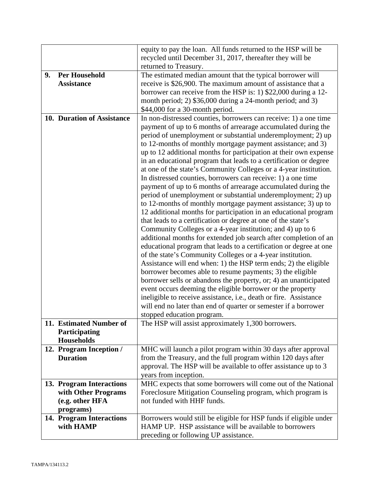|    |                            | equity to pay the loan. All funds returned to the HSP will be      |  |
|----|----------------------------|--------------------------------------------------------------------|--|
|    |                            | recycled until December 31, 2017, thereafter they will be          |  |
|    |                            | returned to Treasury.                                              |  |
| 9. | <b>Per Household</b>       | The estimated median amount that the typical borrower will         |  |
|    | <b>Assistance</b>          | receive is \$26,900. The maximum amount of assistance that a       |  |
|    |                            | borrower can receive from the HSP is: 1) \$22,000 during a 12-     |  |
|    |                            | month period; 2) \$36,000 during a 24-month period; and 3)         |  |
|    |                            | \$44,000 for a 30-month period.                                    |  |
|    | 10. Duration of Assistance | In non-distressed counties, borrowers can receive: 1) a one time   |  |
|    |                            | payment of up to 6 months of arrearage accumulated during the      |  |
|    |                            | period of unemployment or substantial underemployment; 2) up       |  |
|    |                            | to 12-months of monthly mortgage payment assistance; and 3)        |  |
|    |                            | up to 12 additional months for participation at their own expense  |  |
|    |                            | in an educational program that leads to a certification or degree  |  |
|    |                            | at one of the state's Community Colleges or a 4-year institution.  |  |
|    |                            | In distressed counties, borrowers can receive: 1) a one time       |  |
|    |                            | payment of up to 6 months of arrearage accumulated during the      |  |
|    |                            | period of unemployment or substantial underemployment; 2) up       |  |
|    |                            | to 12-months of monthly mortgage payment assistance; 3) up to      |  |
|    |                            | 12 additional months for participation in an educational program   |  |
|    |                            | that leads to a certification or degree at one of the state's      |  |
|    |                            | Community Colleges or a 4-year institution; and 4) up to 6         |  |
|    |                            | additional months for extended job search after completion of an   |  |
|    |                            | educational program that leads to a certification or degree at one |  |
|    |                            | of the state's Community Colleges or a 4-year institution.         |  |
|    |                            | Assistance will end when: 1) the HSP term ends; 2) the eligible    |  |
|    |                            | borrower becomes able to resume payments; 3) the eligible          |  |
|    |                            | borrower sells or abandons the property, or; 4) an unanticipated   |  |
|    |                            | event occurs deeming the eligible borrower or the property         |  |
|    |                            | ineligible to receive assistance, i.e., death or fire. Assistance  |  |
|    |                            | will end no later than end of quarter or semester if a borrower    |  |
|    |                            | stopped education program.                                         |  |
|    | 11. Estimated Number of    | The HSP will assist approximately 1,300 borrowers.                 |  |
|    | Participating              |                                                                    |  |
|    | <b>Households</b>          |                                                                    |  |
|    | 12. Program Inception /    | MHC will launch a pilot program within 30 days after approval      |  |
|    | <b>Duration</b>            | from the Treasury, and the full program within 120 days after      |  |
|    |                            | approval. The HSP will be available to offer assistance up to 3    |  |
|    |                            | years from inception.                                              |  |
|    | 13. Program Interactions   | MHC expects that some borrowers will come out of the National      |  |
|    | with Other Programs        | Foreclosure Mitigation Counseling program, which program is        |  |
|    | (e.g. other HFA            | not funded with HHF funds.                                         |  |
|    | programs)                  |                                                                    |  |
|    | 14. Program Interactions   | Borrowers would still be eligible for HSP funds if eligible under  |  |
|    | with HAMP                  | HAMP UP. HSP assistance will be available to borrowers             |  |
|    |                            | preceding or following UP assistance.                              |  |
|    |                            |                                                                    |  |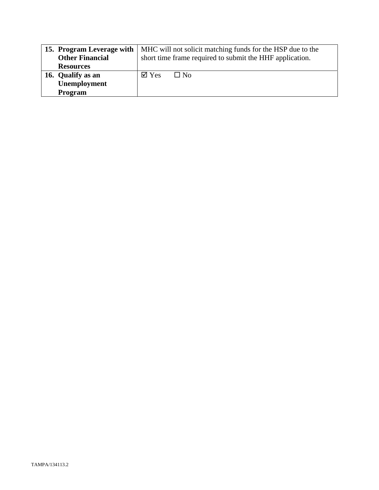|                        | <b>15. Program Leverage with   MHC will not solicit matching funds for the HSP due to the</b> |  |
|------------------------|-----------------------------------------------------------------------------------------------|--|
| <b>Other Financial</b> | short time frame required to submit the HHF application.                                      |  |
| <b>Resources</b>       |                                                                                               |  |
| 16. Qualify as an      | $\boxtimes$ Yes<br>$\Box$ No                                                                  |  |
| Unemployment           |                                                                                               |  |
| Program                |                                                                                               |  |